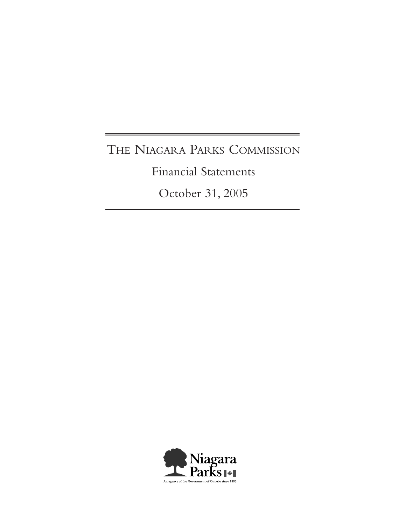# THE NIAGARA PARKS COMMISSION

Financial Statements

October 31, 2005

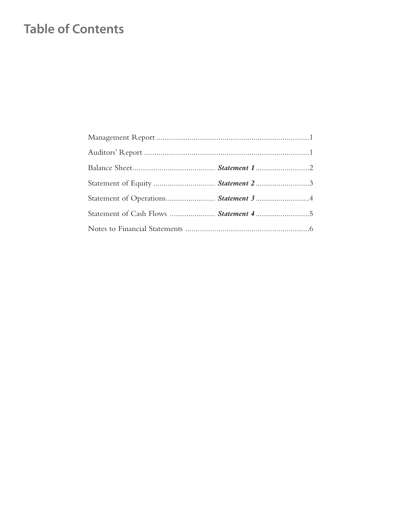## **Table of Contents**

| Statement of Equity  Statement 2 3    |  |
|---------------------------------------|--|
|                                       |  |
| Statement of Cash Flows  Statement 45 |  |
|                                       |  |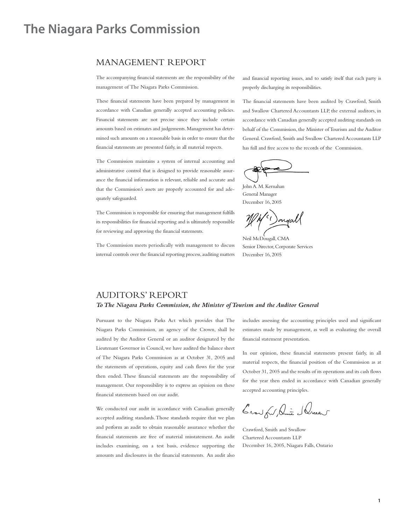## **The Niagara Parks Commission**

### MANAGEMENT REPORT

The accompanying financial statements are the responsibility of the management of The Niagara Parks Commission.

These financial statements have been prepared by management in accordance with Canadian generally accepted accounting policies. Financial statements are not precise since they include certain amounts based on estimates and judgements.Management has determined such amounts on a reasonable basis in order to ensure that the financial statements are presented fairly, in all material respects.

The Commission maintains a system of internal accounting and administrative control that is designed to provide reasonable assurance the financial information is relevant, reliable and accurate and that the Commission's assets are properly accounted for and adequately safeguarded.

The Commission is responsible for ensuring that management fulfills its responsibilities for financial reporting and is ultimately responsible for reviewing and approving the financial statements.

The Commission meets periodically with management to discuss internal controls over the financial reporting process, auditing matters and financial reporting issues, and to satisfy itself that each party is properly discharging its responsibilities.

The financial statements have been audited by Crawford, Smith and Swallow Chartered Accountants LLP, the external auditors, in accordance with Canadian generally accepted auditing standards on behalf of the Commission, the Minister of Tourism and the Auditor General. Crawford, Smith and Swallow Chartered Accountants LLP has full and free access to the records of the Commission.

John A. M. Kernahan General Manager December 16, 2005

)oneal

Neil McDougall, CMA Senior Director, Corporate Services December 16, 2005

### AUDITORS' REPORT

### *ToThe Niagara Parks Commission, the Minister of Tourism and the Auditor General*

Pursuant to the Niagara Parks Act which provides that The Niagara Parks Commission, an agency of the Crown, shall be audited by the Auditor General or an auditor designated by the Lieutenant Governor in Council, we have audited the balance sheet of The Niagara Parks Commission as at October 31, 2005 and the statements of operations, equity and cash flows for the year then ended. These financial statements are the responsibility of management. Our responsibility is to express an opinion on these financial statements based on our audit.

We conducted our audit in accordance with Canadian generally accepted auditing standards.Those standards require that we plan and perform an audit to obtain reasonable assurance whether the financial statements are free of material misstatement. An audit includes examining, on a test basis, evidence supporting the amounts and disclosures in the financial statements. An audit also includes assessing the accounting principles used and significant estimates made by management, as well as evaluating the overall financial statement presentation.

In our opinion, these financial statements present fairly, in all material respects, the financial position of the Commission as at October 31, 2005 and the results of its operations and its cash flows for the year then ended in accordance with Canadian generally accepted accounting principles.

Crowfor, ani Slucent

Crawford, Smith and Swallow Chartered Accountants LLP December 16, 2005, Niagara Falls, Ontario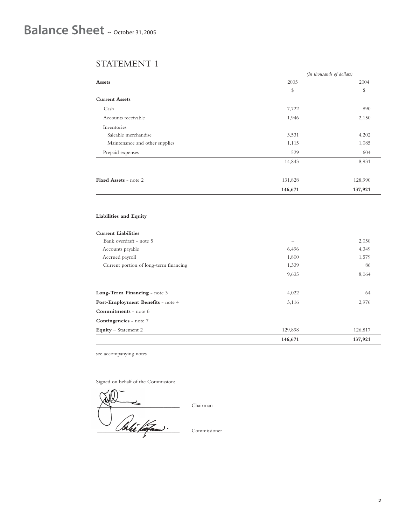### STATEMENT 1

|                                | 146,671                   | 137,921 |
|--------------------------------|---------------------------|---------|
| Fixed Assets - note 2          | 131,828                   | 128,990 |
|                                | 14,843                    | 8,931   |
| Prepaid expenses               | 529                       | 604     |
| Maintenance and other supplies | 1,115                     | 1,085   |
| Saleable merchandise           | 3,531                     | 4,202   |
| Inventories                    |                           |         |
| Accounts receivable            | 1,946                     | 2,150   |
| Cash                           | 7,722                     | 890     |
| <b>Current Assets</b>          |                           |         |
|                                | \$                        | \$      |
| Assets                         | 2005                      | 2004    |
|                                | (In thousands of dollars) |         |

### **Liabilities and Equity**

### **Current Liabilities**

|                                        | 146,671 | 137,921 |
|----------------------------------------|---------|---------|
| <b>Equity</b> – Statement 2            | 129,898 | 126,817 |
| Contingencies - note 7                 |         |         |
| <b>Commitments</b> - note 6            |         |         |
| Post-Employment Benefits - note 4      | 3,116   | 2,976   |
| Long-Term Financing - note 3           | 4,022   | 64      |
|                                        |         |         |
|                                        | 9,635   | 8,064   |
| Current portion of long-term financing | 1,339   | 86      |
| Accrued payroll                        | 1,800   | 1,579   |
| Accounts payable                       | 6,496   | 4,349   |
| Bank overdraft - note 5                |         | 2,050   |
|                                        |         |         |

see accompanying notes

Signed on behalf of the Commission:

 $\sqrt{1}$  Chairman \_\_\_\_\_\_\_\_\_\_\_\_\_\_\_\_\_\_\_\_\_\_\_\_\_\_\_\_\_\_\_ Commissioner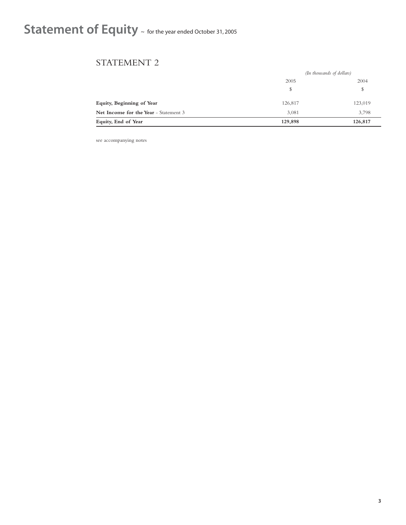# Statement of Equity ~ for the year ended October 31, 2005

### STATEMENT 2

|                                       | (In thousands of dollars) |         |
|---------------------------------------|---------------------------|---------|
|                                       | 2005                      | 2004    |
|                                       | \$                        | \$      |
| Equity, Beginning of Year             | 126,817                   | 123,019 |
| Net Income for the Year - Statement 3 | 3,081                     | 3,798   |
| Equity, End of Year                   | 129,898                   | 126,817 |

see accompanying notes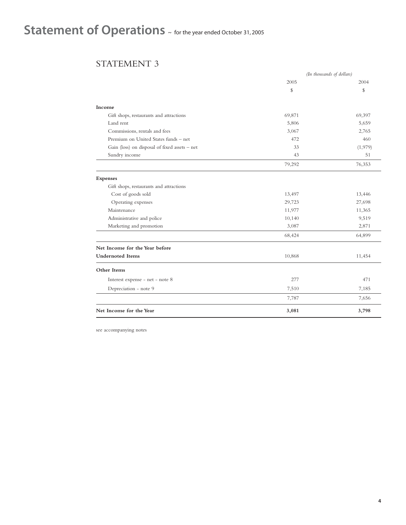# Statement of Operations  $\sim$  for the year ended October 31, 2005

## STATEMENT 3

|                                               | (In thousands of dollars) |         |
|-----------------------------------------------|---------------------------|---------|
|                                               | 2005                      | 2004    |
|                                               | \$                        | \$      |
| Income                                        |                           |         |
| Gift shops, restaurants and attractions       | 69,871                    | 69,397  |
| Land rent                                     | 5,806                     | 5,659   |
| Commissions, rentals and fees                 | 3,067                     | 2,765   |
| Premium on United States funds - net          | 472                       | 460     |
| Gain (loss) on disposal of fixed assets - net | 33                        | (1,979) |
| Sundry income                                 | 43                        | 51      |
|                                               | 79,292                    | 76,353  |
| <b>Expenses</b>                               |                           |         |
| Gift shops, restaurants and attractions       |                           |         |
| Cost of goods sold                            | 13,497                    | 13,446  |
| Operating expenses                            | 29,723                    | 27,698  |
| Maintenance                                   | 11,977                    | 11,365  |
| Administrative and police                     | 10,140                    | 9,519   |
| Marketing and promotion                       | 3,087                     | 2,871   |
|                                               | 68,424                    | 64,899  |
| Net Income for the Year before                |                           |         |
| <b>Undernoted Items</b>                       | 10,868                    | 11,454  |
| Other Items                                   |                           |         |
| Interest expense - net - note 8               | 277                       | 471     |
| Depreciation - note 9                         | 7,510                     | 7,185   |
|                                               | 7,787                     | 7,656   |
| Net Income for the Year                       | 3,081                     | 3,798   |

see accompanying notes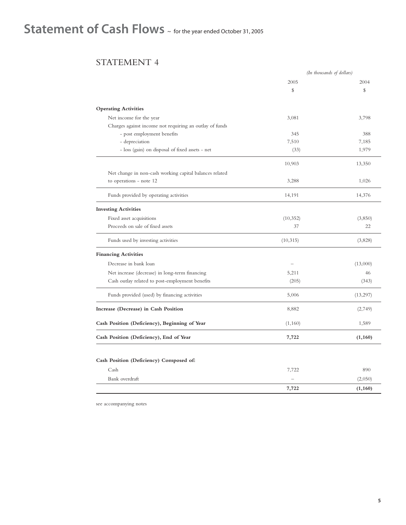# Statement of Cash Flows ~ for the year ended October 31, 2005

### STATEMENT 4

|                                                         | (In thousands of dollars) |          |
|---------------------------------------------------------|---------------------------|----------|
|                                                         | 2005                      | 2004     |
|                                                         | \$                        | \$       |
| <b>Operating Activities</b>                             |                           |          |
| Net income for the year                                 | 3,081                     | 3,798    |
| Charges against income not requiring an outlay of funds |                           |          |
| - post employment benefits                              | 345                       | 388      |
| - depreciation                                          | 7,510                     | 7,185    |
| - loss (gain) on disposal of fixed assets - net         | (33)                      | 1,979    |
|                                                         | 10,903                    | 13,350   |
| Net change in non-cash working capital balances related |                           |          |
| to operations - note 12                                 | 3,288                     | 1,026    |
| Funds provided by operating activities                  | 14,191                    | 14,376   |
| <b>Investing Activities</b>                             |                           |          |
| Fixed asset acquisitions                                | (10, 352)                 | (3,850)  |
| Proceeds on sale of fixed assets                        | 37                        | 22       |
| Funds used by investing activities                      | (10, 315)                 | (3,828)  |
| <b>Financing Activities</b>                             |                           |          |
| Decrease in bank loan                                   |                           | (13,000) |
| Net increase (decrease) in long-term financing          | 5,211                     | 46       |
| Cash outlay related to post-employment benefits         | (205)                     | (343)    |
| Funds provided (used) by financing activities           | 5,006                     | (13,297) |
| Increase (Decrease) in Cash Position                    | 8,882                     | (2,749)  |
| Cash Position (Deficiency), Beginning of Year           | (1,160)                   | 1,589    |
| Cash Position (Deficiency), End of Year                 | 7,722                     | (1, 160) |
|                                                         |                           |          |
| Cash Position (Deficiency) Composed of:                 |                           |          |
| Cash                                                    | 7,722                     | 890      |
| Bank overdraft                                          |                           | (2,050)  |
|                                                         | 7,722                     | (1, 160) |

see accompanying notes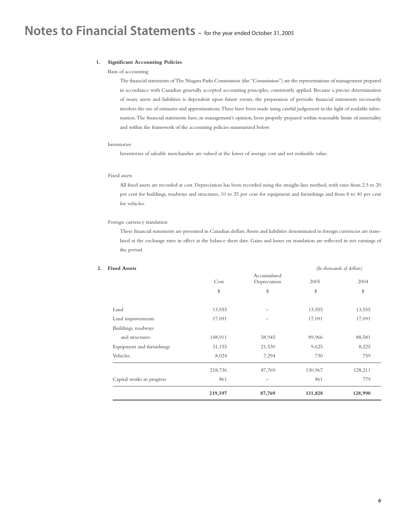### **1. Significant Accounting Policies**

#### Basis of accounting

The financial statements of The Niagara Parks Commission (the "Commission") are the representations of management prepared in accordance with Canadian generally accepted accounting principles, consistently applied. Because a precise determination of many assets and liabilities is dependent upon future events, the preparation of periodic financial statements necessarily involves the use of estimates and approximations.These have been made using careful judgement in the light of available information.The financial statements have, in management's opinion, been properly prepared within reasonable limits of materiality and within the framework of the accounting policies summarized below:

#### Inventories

Inventories of saleable merchandise are valued at the lower of average cost and net realizable value.

### Fixed assets

All fixed assets are recorded at cost. Depreciation has been recorded using the straight-line method, with rates from 2.5 to 20 per cent for buildings, roadways and structures, 10 to 25 per cent for equipment and furnishings and from 8 to 40 per cent for vehicles.

### Foreign currency translation

These financial statements are presented in Canadian dollars.Assets and liabilities denominated in foreign currencies are translated at the exchange rates in effect at the balance sheet date. Gains and losses on translation are reflected in net earnings of the period.

|                           |         | Accumulated  |         |         |
|---------------------------|---------|--------------|---------|---------|
|                           | Cost    | Depreciation | 2005    | 2004    |
|                           | \$      | \$           | \$      | \$      |
| Land                      | 13,555  |              | 13,555  | 13,555  |
| Land improvements         | 17,091  |              | 17,091  | 17,091  |
| Buildings, roadways       |         |              |         |         |
| and structures            | 148,911 | 58,945       | 89,966  | 88,581  |
| Equipment and furnishings | 31,155  | 21,530       | 9,625   | 8,225   |
| Vehicles                  | 8,024   | 7,294        | 730     | 759     |
|                           | 218,736 | 87,769       | 130,967 | 128,211 |
| Capital works in progress | 861     |              | 861     | 779     |
|                           | 219,597 | 87,769       | 131,828 | 128,990 |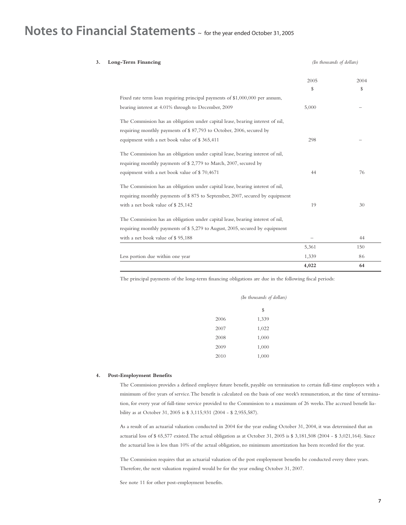## Notes to Financial Statements  $\sim$  for the year ended October 31, 2005

## **3. Long-Term Financing** *(In thousands of dollars)* 2005 2004  $\frac{1}{2}$   $\frac{1}{2}$   $\frac{1}{2}$   $\frac{1}{2}$   $\frac{1}{2}$   $\frac{1}{2}$   $\frac{1}{2}$   $\frac{1}{2}$   $\frac{1}{2}$   $\frac{1}{2}$   $\frac{1}{2}$   $\frac{1}{2}$   $\frac{1}{2}$   $\frac{1}{2}$   $\frac{1}{2}$   $\frac{1}{2}$   $\frac{1}{2}$   $\frac{1}{2}$   $\frac{1}{2}$   $\frac{1}{2}$   $\frac{1}{2}$   $\frac{1}{2}$  Fixed rate term loan requiring principal payments of \$1,000,000 per annum, bearing interest at 4.01% through to December, 2009 5,000 – The Commission has an obligation under capital lease, bearing interest of nil, requiring monthly payments of \$ 87,793 to October, 2006, secured by equipment with a net book value of \$ 365,411 <sup>298</sup> The Commission has an obligation under capital lease, bearing interest of nil, requiring monthly payments of \$ 2,779 to March, 2007, secured by equipment with a net book value of \$ 70,4671 44 76 The Commission has an obligation under capital lease, bearing interest of nil, requiring monthly payments of \$ 875 to September, 2007, secured by equipment with a net book value of  $$ 25,142$  19 30 The Commission has an obligation under capital lease, bearing interest of nil, requiring monthly payments of \$ 5,279 to August, 2005, secured by equipment with a net book value of  $\$95,188$   $-$  44 5,361 150 Less portion due within one year 1,339 86

The principal payments of the long-term financing obligations are due in the following fiscal periods:

| (In thousands of dollars) |
|---------------------------|
| \$                        |
| 1,339                     |
| 1,022                     |
| 1,000                     |
| 1,000                     |
| 1,000                     |
|                           |

#### **4. Post-Employment Benefits**

The Commission provides a defined employee future benefit, payable on termination to certain full-time employees with a minimum of five years of service.The benefit is calculated on the basis of one week's remuneration, at the time of termination, for every year of full-time service provided to the Commission to a maximum of 26 weeks.The accrued benefit liability as at October 31, 2005 is \$ 3,115,931 (2004 - \$ 2,955,587).

As a result of an actuarial valuation conducted in 2004 for the year ending October 31, 2004, it was determined that an actuarial loss of \$ 65,577 existed.The actual obligation as at October 31, 2005 is \$ 3,181,508 (2004 - \$ 3,021,164). Since the actuarial loss is less than 10% of the actual obligation, no minimum amortization has been recorded for the year.

The Commission requires that an actuarial valuation of the post employment benefits be conducted every three years. Therefore, the next valuation required would be for the year ending October 31, 2007.

See note 11 for other post-employment benefits.

**4,022 64**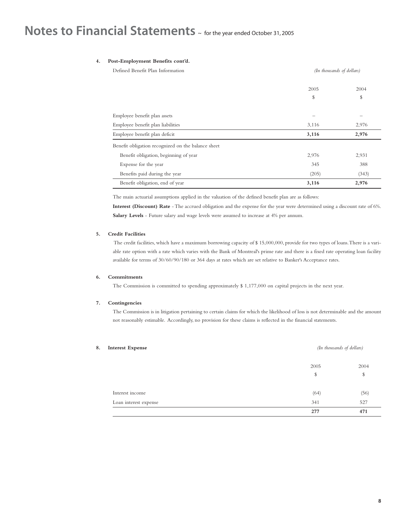## **Notes to Financial Statements** ~ for the year ended October 31, 2005

### **4. Post-Employment Benefits cont'd.**

| Defined Benefit Plan Information                   | (In thousands of dollars) |       |
|----------------------------------------------------|---------------------------|-------|
|                                                    | 2005                      | 2004  |
|                                                    | \$                        | \$    |
| Employee benefit plan assets                       |                           |       |
| Employee benefit plan liabilities                  | 3,116                     | 2,976 |
| Employee benefit plan deficit                      | 3,116                     | 2,976 |
| Benefit obligation recognized on the balance sheet |                           |       |
| Benefit obligation, beginning of year              | 2,976                     | 2,931 |
| Expense for the year                               | 345                       | 388   |
| Benefits paid during the year                      | (205)                     | (343) |
| Benefit obligation, end of year                    | 3,116                     | 2,976 |

The main actuarial assumptions applied in the valuation of the defined benefit plan are as follows:

**Interest (Discount) Rate** - The accrued obligation and the expense for the year were determined using a discount rate of 6%. **Salary Levels** - Future salary and wage levels were assumed to increase at 4% per annum.

### **5. Credit Facilities**

The credit facilities, which have a maximum borrowing capacity of \$ 15,000,000, provide for two types of loans.There is a variable rate option with a rate which varies with the Bank of Montreal's prime rate and there is a fixed rate operating loan facility available for terms of 30/60/90/180 or 364 days at rates which are set relative to Banker's Acceptance rates.

### **6. Commitments**

The Commission is committed to spending approximately \$ 1,177,000 on capital projects in the next year.

### **7. Contingencies**

The Commission is in litigation pertaining to certain claims for which the likelihood of loss is not determinable and the amount not reasonably estimable. Accordingly, no provision for these claims is reflected in the financial statements.

| <b>Interest Expense</b> | (In thousands of dollars) |      |
|-------------------------|---------------------------|------|
|                         | 2005                      | 2004 |
|                         | \$                        | \$   |
| Interest income         | (64)                      | (56) |
| Loan interest expense   | 341                       | 527  |
|                         | 277                       | 471  |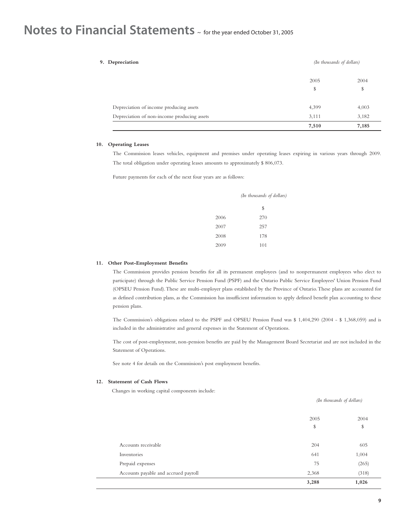## **Notes to Financial Statements** ~ for the year ended October 31, 2005

| 9. Depreciation                             | (In thousands of dollars) |       |
|---------------------------------------------|---------------------------|-------|
|                                             | 2005                      | 2004  |
|                                             | \$                        | \$    |
| Depreciation of income producing assets     | 4,399                     | 4,003 |
| Depreciation of non-income producing assets | 3,111                     | 3,182 |
|                                             | 7,510                     | 7,185 |

### **10. Operating Leases**

The Commission leases vehicles, equipment and premises under operating leases expiring in various years through 2009. The total obligation under operating leases amounts to approximately \$ 806,073.

Future payments for each of the next four years are as follows:

|      | (In thousands of dollars) |
|------|---------------------------|
|      | \$                        |
| 2006 | 270                       |
| 2007 | 257                       |
| 2008 | 178                       |
| 2009 | 101                       |

### **11. Other Post-Employment Benefits**

The Commission provides pension benefits for all its permanent employees (and to nonpermanent employees who elect to participate) through the Public Service Pension Fund (PSPF) and the Ontario Public Service Employees' Union Pension Fund (OPSEU Pension Fund).These are multi-employer plans established by the Province of Ontario.These plans are accounted for as defined contribution plans, as the Commission has insufficient information to apply defined benefit plan accounting to these pension plans.

The Commission's obligations related to the PSPF and OPSEU Pension Fund was \$ 1,404,290 (2004 - \$ 1,368,059) and is included in the administrative and general expenses in the Statement of Operations.

The cost of post-employment, non-pension benefits are paid by the Management Board Secretariat and are not included in the Statement of Operations.

See note 4 for details on the Commission's post employment benefits.

### **12. Statement of Cash Flows**

Changes in working capital components include:

| 2,368 | (318) |
|-------|-------|
| 75    | (265) |
| 641   | 1,004 |
| 204   | 605   |
| \$    | \$    |
| 2005  | 2004  |
|       |       |
|       |       |

*(In thousands of dollars)*